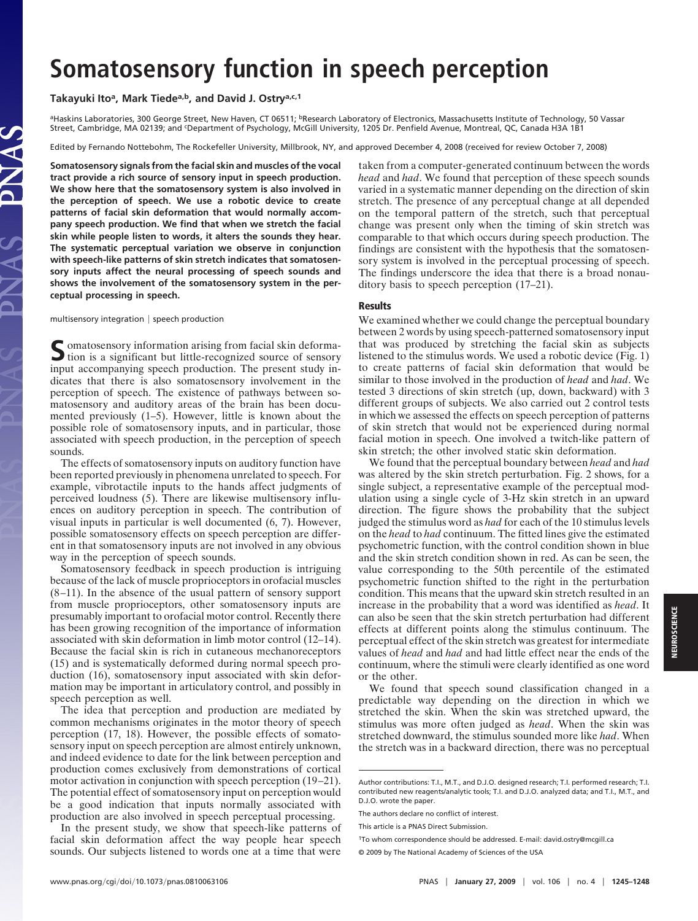# **Somatosensory function in speech perception**

## Takayuki Ito<sup>a</sup>, Mark Tiede<sup>a,b</sup>, and David J. Ostry<sup>a,c,1</sup>

<sup>a</sup>Haskins Laboratories, 300 George Street, New Haven, CT 06511; <sup>b</sup>Research Laboratory of Electronics, Massachusetts Institute of Technology, 50 Vassar Street, Cambridge, MA 02139; and <sup>c</sup>Department of Psychology, McGill University, 1205 Dr. Penfield Avenue, Montreal, QC, Canada H3A 1B1

Edited by Fernando Nottebohm, The Rockefeller University, Millbrook, NY, and approved December 4, 2008 (received for review October 7, 2008)

**Somatosensory signals from the facial skin and muscles of the vocal tract provide a rich source of sensory input in speech production. We show here that the somatosensory system is also involved in the perception of speech. We use a robotic device to create patterns of facial skin deformation that would normally accompany speech production. We find that when we stretch the facial skin while people listen to words, it alters the sounds they hear. The systematic perceptual variation we observe in conjunction with speech-like patterns of skin stretch indicates that somatosensory inputs affect the neural processing of speech sounds and shows the involvement of the somatosensory system in the perceptual processing in speech.**

multisensory integration  $|$  speech production

Somatosensory information arising from facial skin deforma-<br>tion is a significant but little-recognized source of sensory input accompanying speech production. The present study indicates that there is also somatosensory involvement in the perception of speech. The existence of pathways between somatosensory and auditory areas of the brain has been documented previously (1–5). However, little is known about the possible role of somatosensory inputs, and in particular, those associated with speech production, in the perception of speech sounds.

The effects of somatosensory inputs on auditory function have been reported previously in phenomena unrelated to speech. For example, vibrotactile inputs to the hands affect judgments of perceived loudness (5). There are likewise multisensory influences on auditory perception in speech. The contribution of visual inputs in particular is well documented (6, 7). However, possible somatosensory effects on speech perception are different in that somatosensory inputs are not involved in any obvious way in the perception of speech sounds.

Somatosensory feedback in speech production is intriguing because of the lack of muscle proprioceptors in orofacial muscles (8–11). In the absence of the usual pattern of sensory support from muscle proprioceptors, other somatosensory inputs are presumably important to orofacial motor control. Recently there has been growing recognition of the importance of information associated with skin deformation in limb motor control (12–14). Because the facial skin is rich in cutaneous mechanoreceptors (15) and is systematically deformed during normal speech production (16), somatosensory input associated with skin deformation may be important in articulatory control, and possibly in speech perception as well.

The idea that perception and production are mediated by common mechanisms originates in the motor theory of speech perception (17, 18). However, the possible effects of somatosensory input on speech perception are almost entirely unknown, and indeed evidence to date for the link between perception and production comes exclusively from demonstrations of cortical motor activation in conjunction with speech perception (19–21). The potential effect of somatosensory input on perception would be a good indication that inputs normally associated with production are also involved in speech perceptual processing.

In the present study, we show that speech-like patterns of facial skin deformation affect the way people hear speech sounds. Our subjects listened to words one at a time that were taken from a computer-generated continuum between the words *head* and *had*. We found that perception of these speech sounds varied in a systematic manner depending on the direction of skin stretch. The presence of any perceptual change at all depended on the temporal pattern of the stretch, such that perceptual change was present only when the timing of skin stretch was comparable to that which occurs during speech production. The findings are consistent with the hypothesis that the somatosensory system is involved in the perceptual processing of speech. The findings underscore the idea that there is a broad nonauditory basis to speech perception (17–21).

### **Results**

We examined whether we could change the perceptual boundary between 2 words by using speech-patterned somatosensory input that was produced by stretching the facial skin as subjects listened to the stimulus words. We used a robotic device (Fig. 1) to create patterns of facial skin deformation that would be similar to those involved in the production of *head* and *had*. We tested 3 directions of skin stretch (up, down, backward) with 3 different groups of subjects. We also carried out 2 control tests in which we assessed the effects on speech perception of patterns of skin stretch that would not be experienced during normal facial motion in speech. One involved a twitch-like pattern of skin stretch; the other involved static skin deformation.

We found that the perceptual boundary between *head* and *had* was altered by the skin stretch perturbation. Fig. 2 shows, for a single subject, a representative example of the perceptual modulation using a single cycle of 3-Hz skin stretch in an upward direction. The figure shows the probability that the subject judged the stimulus word as *had* for each of the 10 stimulus levels on the *head* to *had* continuum. The fitted lines give the estimated psychometric function, with the control condition shown in blue and the skin stretch condition shown in red. As can be seen, the value corresponding to the 50th percentile of the estimated psychometric function shifted to the right in the perturbation condition. This means that the upward skin stretch resulted in an increase in the probability that a word was identified as *head*. It can also be seen that the skin stretch perturbation had different effects at different points along the stimulus continuum. The perceptual effect of the skin stretch was greatest for intermediate values of *head* and *had* and had little effect near the ends of the continuum, where the stimuli were clearly identified as one word or the other.

We found that speech sound classification changed in a predictable way depending on the direction in which we stretched the skin. When the skin was stretched upward, the stimulus was more often judged as *head*. When the skin was stretched downward, the stimulus sounded more like *had*. When the stretch was in a backward direction, there was no perceptual

Author contributions: T.I., M.T., and D.J.O. designed research; T.I. performed research; T.I. contributed new reagents/analytic tools; T.I. and D.J.O. analyzed data; and T.I., M.T., and D.J.O. wrote the paper.

The authors declare no conflict of interest.

This article is a PNAS Direct Submission.

<sup>1</sup>To whom correspondence should be addressed. E-mail: david.ostry@mcgill.ca

<sup>© 2009</sup> by The National Academy of Sciences of the USA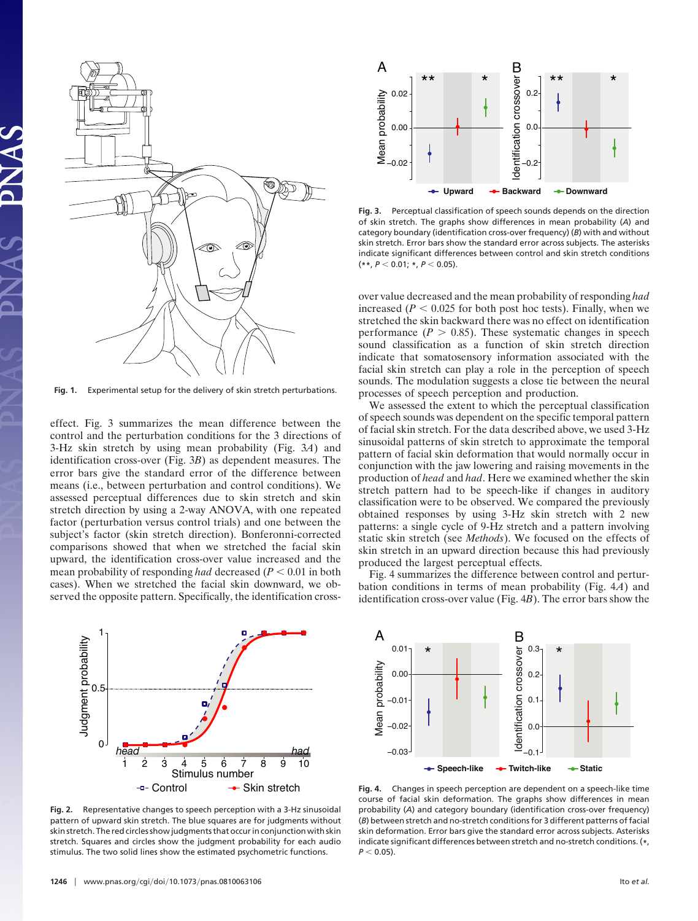

**Fig. 1.** Experimental setup for the delivery of skin stretch perturbations.

effect. Fig. 3 summarizes the mean difference between the control and the perturbation conditions for the 3 directions of 3-Hz skin stretch by using mean probability (Fig. 3*A*) and identification cross-over (Fig. 3*B*) as dependent measures. The error bars give the standard error of the difference between means (i.e., between perturbation and control conditions). We assessed perceptual differences due to skin stretch and skin stretch direction by using a 2-way ANOVA, with one repeated factor (perturbation versus control trials) and one between the subject's factor (skin stretch direction). Bonferonni-corrected comparisons showed that when we stretched the facial skin upward, the identification cross-over value increased and the mean probability of responding *had* decreased ( $P < 0.01$  in both cases). When we stretched the facial skin downward, we observed the opposite pattern. Specifically, the identification cross-



**Fig. 2.** Representative changes to speech perception with a 3-Hz sinusoidal pattern of upward skin stretch. The blue squares are for judgments without skin stretch. The red circles show judgments that occur in conjunction with skin stretch. Squares and circles show the judgment probability for each audio stimulus. The two solid lines show the estimated psychometric functions.





**Fig. 3.** Perceptual classification of speech sounds depends on the direction of skin stretch. The graphs show differences in mean probability (*A*) and category boundary (identification cross-over frequency) (*B*) with and without skin stretch. Error bars show the standard error across subjects. The asterisks indicate significant differences between control and skin stretch conditions  $(**, P < 0.01; *, P < 0.05).$ 

over value decreased and the mean probability of responding *had* increased  $(P < 0.025$  for both post hoc tests). Finally, when we stretched the skin backward there was no effect on identification performance  $(P > 0.85)$ . These systematic changes in speech sound classification as a function of skin stretch direction indicate that somatosensory information associated with the facial skin stretch can play a role in the perception of speech sounds. The modulation suggests a close tie between the neural processes of speech perception and production.

We assessed the extent to which the perceptual classification of speech sounds was dependent on the specific temporal pattern of facial skin stretch. For the data described above, we used 3-Hz sinusoidal patterns of skin stretch to approximate the temporal pattern of facial skin deformation that would normally occur in conjunction with the jaw lowering and raising movements in the production of *head* and *had*. Here we examined whether the skin stretch pattern had to be speech-like if changes in auditory classification were to be observed. We compared the previously obtained responses by using 3-Hz skin stretch with 2 new patterns: a single cycle of 9-Hz stretch and a pattern involving static skin stretch (see *Methods*). We focused on the effects of skin stretch in an upward direction because this had previously produced the largest perceptual effects.

Fig. 4 summarizes the difference between control and perturbation conditions in terms of mean probability (Fig. 4*A*) and identification cross-over value (Fig. 4*B*). The error bars show the



**Fig. 4.** Changes in speech perception are dependent on a speech-like time course of facial skin deformation. The graphs show differences in mean probability (*A*) and category boundary (identification cross-over frequency) (*B*) between stretch and no-stretch conditions for 3 different patterns of facial skin deformation. Error bars give the standard error across subjects. Asterisks indicate significant differences between stretch and no-stretch conditions. (**\***,  $P < 0.05$ ).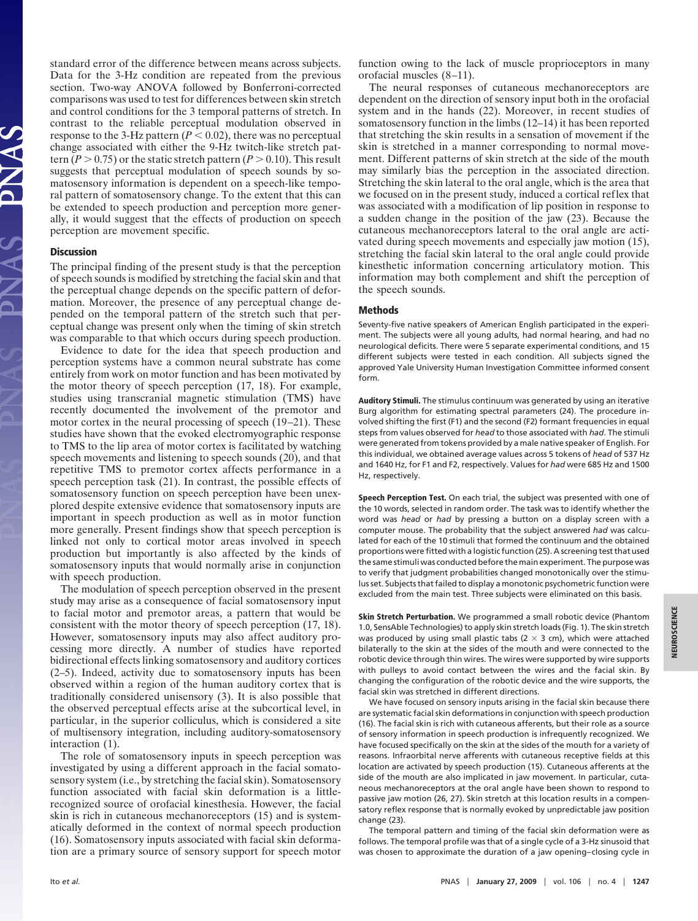standard error of the difference between means across subjects. Data for the 3-Hz condition are repeated from the previous section. Two-way ANOVA followed by Bonferroni-corrected comparisons was used to test for differences between skin stretch and control conditions for the 3 temporal patterns of stretch. In contrast to the reliable perceptual modulation observed in response to the 3-Hz pattern ( $P \le 0.02$ ), there was no perceptual change associated with either the 9-Hz twitch-like stretch pattern ( $P > 0.75$ ) or the static stretch pattern ( $P > 0.10$ ). This result suggests that perceptual modulation of speech sounds by somatosensory information is dependent on a speech-like temporal pattern of somatosensory change. To the extent that this can be extended to speech production and perception more generally, it would suggest that the effects of production on speech perception are movement specific.

### **Discussion**

The principal finding of the present study is that the perception of speech sounds is modified by stretching the facial skin and that the perceptual change depends on the specific pattern of deformation. Moreover, the presence of any perceptual change depended on the temporal pattern of the stretch such that perceptual change was present only when the timing of skin stretch was comparable to that which occurs during speech production.

Evidence to date for the idea that speech production and perception systems have a common neural substrate has come entirely from work on motor function and has been motivated by the motor theory of speech perception (17, 18). For example, studies using transcranial magnetic stimulation (TMS) have recently documented the involvement of the premotor and motor cortex in the neural processing of speech (19–21). These studies have shown that the evoked electromyographic response to TMS to the lip area of motor cortex is facilitated by watching speech movements and listening to speech sounds (20), and that repetitive TMS to premotor cortex affects performance in a speech perception task (21). In contrast, the possible effects of somatosensory function on speech perception have been unexplored despite extensive evidence that somatosensory inputs are important in speech production as well as in motor function more generally. Present findings show that speech perception is linked not only to cortical motor areas involved in speech production but importantly is also affected by the kinds of somatosensory inputs that would normally arise in conjunction with speech production.

The modulation of speech perception observed in the present study may arise as a consequence of facial somatosensory input to facial motor and premotor areas, a pattern that would be consistent with the motor theory of speech perception (17, 18). However, somatosensory inputs may also affect auditory processing more directly. A number of studies have reported bidirectional effects linking somatosensory and auditory cortices (2–5). Indeed, activity due to somatosensory inputs has been observed within a region of the human auditory cortex that is traditionally considered unisensory (3). It is also possible that the observed perceptual effects arise at the subcortical level, in particular, in the superior colliculus, which is considered a site of multisensory integration, including auditory-somatosensory interaction (1).

The role of somatosensory inputs in speech perception was investigated by using a different approach in the facial somatosensory system (i.e., by stretching the facial skin). Somatosensory function associated with facial skin deformation is a littlerecognized source of orofacial kinesthesia. However, the facial skin is rich in cutaneous mechanoreceptors (15) and is systematically deformed in the context of normal speech production (16). Somatosensory inputs associated with facial skin deformation are a primary source of sensory support for speech motor function owing to the lack of muscle proprioceptors in many orofacial muscles (8–11).

The neural responses of cutaneous mechanoreceptors are dependent on the direction of sensory input both in the orofacial system and in the hands (22). Moreover, in recent studies of somatosensory function in the limbs (12–14) it has been reported that stretching the skin results in a sensation of movement if the skin is stretched in a manner corresponding to normal movement. Different patterns of skin stretch at the side of the mouth may similarly bias the perception in the associated direction. Stretching the skin lateral to the oral angle, which is the area that we focused on in the present study, induced a cortical reflex that was associated with a modification of lip position in response to a sudden change in the position of the jaw (23). Because the cutaneous mechanoreceptors lateral to the oral angle are activated during speech movements and especially jaw motion (15), stretching the facial skin lateral to the oral angle could provide kinesthetic information concerning articulatory motion. This information may both complement and shift the perception of the speech sounds.

#### **Methods**

Seventy-five native speakers of American English participated in the experiment. The subjects were all young adults, had normal hearing, and had no neurological deficits. There were 5 separate experimental conditions, and 15 different subjects were tested in each condition. All subjects signed the approved Yale University Human Investigation Committee informed consent form.

**Auditory Stimuli.** The stimulus continuum was generated by using an iterative Burg algorithm for estimating spectral parameters (24). The procedure involved shifting the first (F1) and the second (F2) formant frequencies in equal steps from values observed for *head* to those associated with *had*. The stimuli were generated from tokens provided by a male native speaker of English. For this individual, we obtained average values across 5 tokens of *head* of 537 Hz and 1640 Hz, for F1 and F2, respectively. Values for *had* were 685 Hz and 1500 Hz, respectively.

**Speech Perception Test.** On each trial, the subject was presented with one of the 10 words, selected in random order. The task was to identify whether the word was *head* or *had* by pressing a button on a display screen with a computer mouse. The probability that the subject answered *had* was calculated for each of the 10 stimuli that formed the continuum and the obtained proportions were fitted with a logistic function (25). A screening test that used the same stimuli was conducted before the main experiment. The purpose was to verify that judgment probabilities changed monotonically over the stimulus set. Subjects that failed to display a monotonic psychometric function were excluded from the main test. Three subjects were eliminated on this basis.

**Skin Stretch Perturbation.** We programmed a small robotic device (Phantom 1.0, SensAble Technologies) to apply skin stretch loads (Fig. 1). The skin stretch was produced by using small plastic tabs (2  $\times$  3 cm), which were attached bilaterally to the skin at the sides of the mouth and were connected to the robotic device through thin wires. The wires were supported by wire supports with pulleys to avoid contact between the wires and the facial skin. By changing the configuration of the robotic device and the wire supports, the facial skin was stretched in different directions.

We have focused on sensory inputs arising in the facial skin because there are systematic facial skin deformations in conjunction with speech production (16). The facial skin is rich with cutaneous afferents, but their role as a source of sensory information in speech production is infrequently recognized. We have focused specifically on the skin at the sides of the mouth for a variety of reasons. Infraorbital nerve afferents with cutaneous receptive fields at this location are activated by speech production (15). Cutaneous afferents at the side of the mouth are also implicated in jaw movement. In particular, cutaneous mechanoreceptors at the oral angle have been shown to respond to passive jaw motion (26, 27). Skin stretch at this location results in a compensatory reflex response that is normally evoked by unpredictable jaw position change (23).

The temporal pattern and timing of the facial skin deformation were as follows. The temporal profile was that of a single cycle of a 3-Hz sinusoid that was chosen to approximate the duration of a jaw opening– closing cycle in